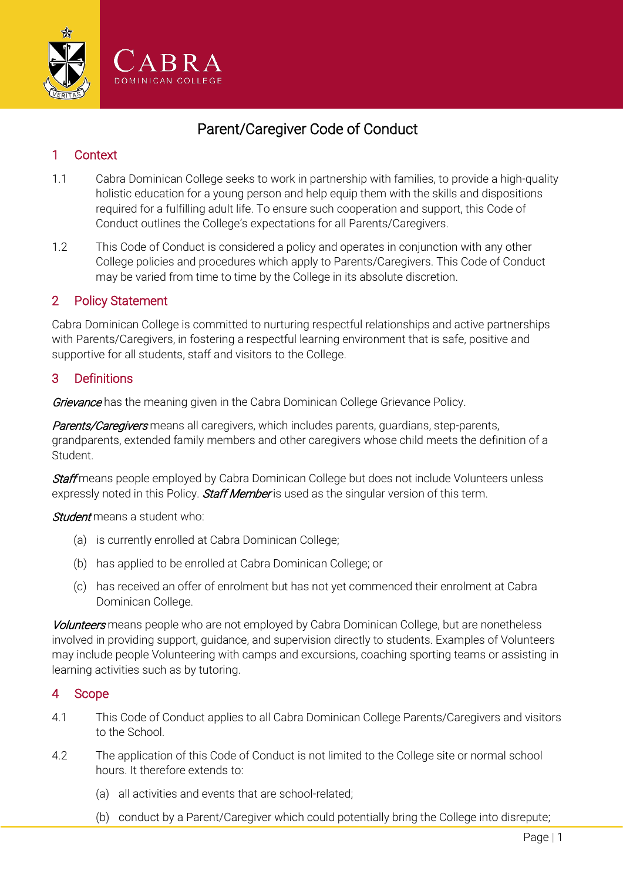

# Parent/Caregiver Code of Conduct

# 1 Context

- 1.1 Cabra Dominican College seeks to work in partnership with families, to provide a high-quality holistic education for a young person and help equip them with the skills and dispositions required for a fulfilling adult life. To ensure such cooperation and support, this Code of Conduct outlines the College's expectations for all Parents/Caregivers.
- 1.2 This Code of Conduct is considered a policy and operates in conjunction with any other College policies and procedures which apply to Parents/Caregivers. This Code of Conduct may be varied from time to time by the College in its absolute discretion.

## 2 Policy Statement

Cabra Dominican College is committed to nurturing respectful relationships and active partnerships with Parents/Caregivers, in fostering a respectful learning environment that is safe, positive and supportive for all students, staff and visitors to the College.

# 3 Definitions

Grievance has the meaning given in the Cabra Dominican College Grievance Policy.

Parents/Caregivers means all caregivers, which includes parents, guardians, step-parents, grandparents, extended family members and other caregivers whose child meets the definition of a Student.

Staff means people employed by Cabra Dominican College but does not include Volunteers unless expressly noted in this Policy. Staff Member is used as the singular version of this term.

**Student** means a student who:

- (a) is currently enrolled at Cabra Dominican College;
- (b) has applied to be enrolled at Cabra Dominican College; or
- (c) has received an offer of enrolment but has not yet commenced their enrolment at Cabra Dominican College.

Volunteers means people who are not employed by Cabra Dominican College, but are nonetheless involved in providing support, guidance, and supervision directly to students. Examples of Volunteers may include people Volunteering with camps and excursions, coaching sporting teams or assisting in learning activities such as by tutoring.

## 4 Scope

- 4.1 This Code of Conduct applies to all Cabra Dominican College Parents/Caregivers and visitors to the School.
- 4.2 The application of this Code of Conduct is not limited to the College site or normal school hours. It therefore extends to:
	- (a) all activities and events that are school-related;
	- (b) conduct by a Parent/Caregiver which could potentially bring the College into disrepute;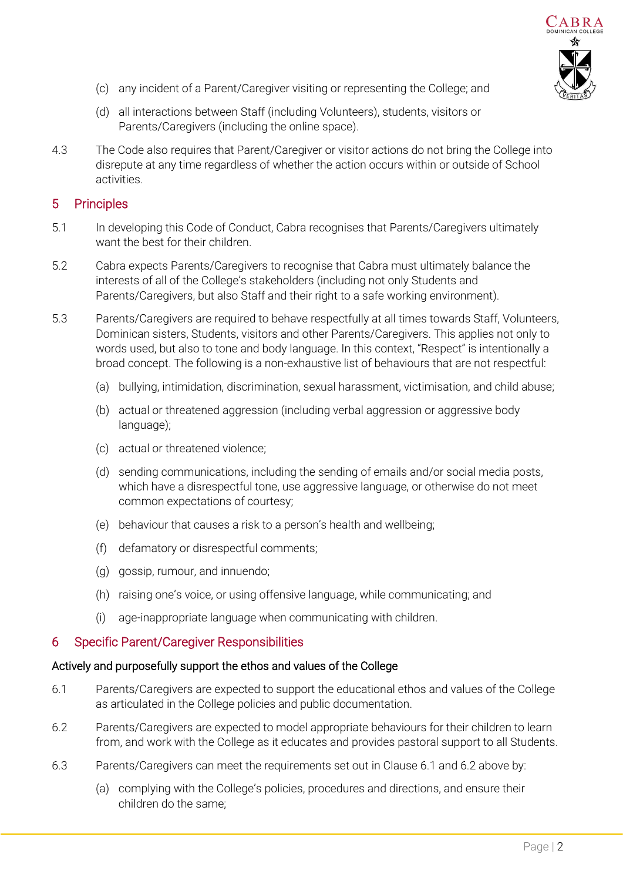

- (c) any incident of a Parent/Caregiver visiting or representing the College; and
- (d) all interactions between Staff (including Volunteers), students, visitors or Parents/Caregivers (including the online space).
- 4.3 The Code also requires that Parent/Caregiver or visitor actions do not bring the College into disrepute at any time regardless of whether the action occurs within or outside of School activities.

## 5 Principles

- 5.1 In developing this Code of Conduct, Cabra recognises that Parents/Caregivers ultimately want the best for their children.
- 5.2 Cabra expects Parents/Caregivers to recognise that Cabra must ultimately balance the interests of all of the College's stakeholders (including not only Students and Parents/Caregivers, but also Staff and their right to a safe working environment).
- 5.3 Parents/Caregivers are required to behave respectfully at all times towards Staff, Volunteers, Dominican sisters, Students, visitors and other Parents/Caregivers. This applies not only to words used, but also to tone and body language. In this context, "Respect" is intentionally a broad concept. The following is a non-exhaustive list of behaviours that are not respectful:
	- (a) bullying, intimidation, discrimination, sexual harassment, victimisation, and child abuse;
	- (b) actual or threatened aggression (including verbal aggression or aggressive body language);
	- (c) actual or threatened violence;
	- (d) sending communications, including the sending of emails and/or social media posts, which have a disrespectful tone, use aggressive language, or otherwise do not meet common expectations of courtesy;
	- (e) behaviour that causes a risk to a person's health and wellbeing;
	- (f) defamatory or disrespectful comments;
	- (g) gossip, rumour, and innuendo;
	- (h) raising one's voice, or using offensive language, while communicating; and
	- (i) age-inappropriate language when communicating with children.

## 6 Specific Parent/Caregiver Responsibilities

#### Actively and purposefully support the ethos and values of the College

- <span id="page-1-0"></span>6.1 Parents/Caregivers are expected to support the educational ethos and values of the College as articulated in the College policies and public documentation.
- <span id="page-1-1"></span>6.2 Parents/Caregivers are expected to model appropriate behaviours for their children to learn from, and work with the College as it educates and provides pastoral support to all Students.
- 6.3 Parents/Caregivers can meet the requirements set out in Claus[e 6.1](#page-1-0) and [6.2 above](#page-1-1) by:
	- (a) complying with the College's policies, procedures and directions, and ensure their children do the same;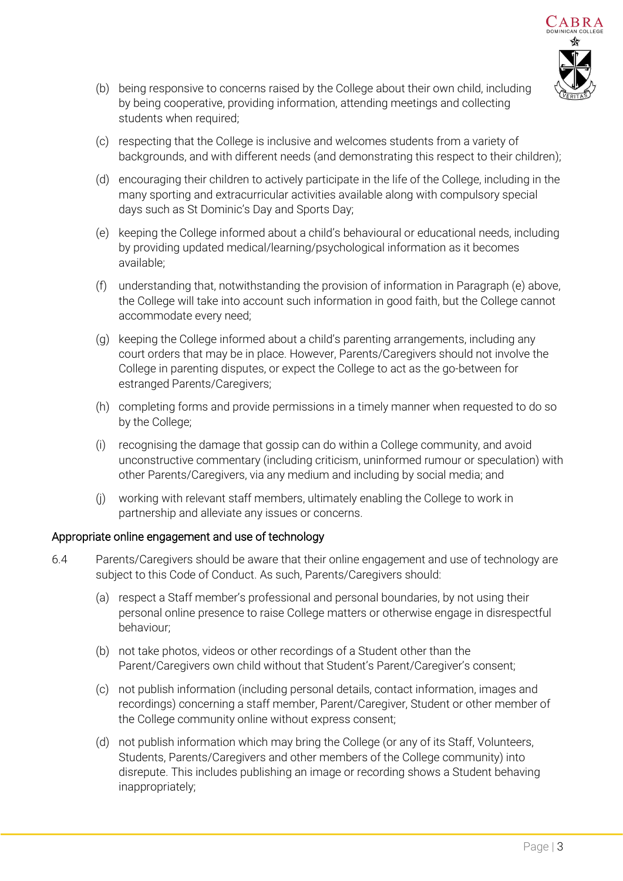

- (b) being responsive to concerns raised by the College about their own child, including by being cooperative, providing information, attending meetings and collecting students when required;
- (c) respecting that the College is inclusive and welcomes students from a variety of backgrounds, and with different needs (and demonstrating this respect to their children);
- (d) encouraging their children to actively participate in the life of the College, including in the many sporting and extracurricular activities available along with compulsory special days such as St Dominic's Day and Sports Day;
- <span id="page-2-0"></span>(e) keeping the College informed about a child's behavioural or educational needs, including by providing updated medical/learning/psychological information as it becomes available;
- (f) understanding that, notwithstanding the provision of information in Paragraph [\(e\) above,](#page-2-0)  the College will take into account such information in good faith, but the College cannot accommodate every need;
- (g) keeping the College informed about a child's parenting arrangements, including any court orders that may be in place. However, Parents/Caregivers should not involve the College in parenting disputes, or expect the College to act as the go-between for estranged Parents/Caregivers;
- (h) completing forms and provide permissions in a timely manner when requested to do so by the College;
- (i) recognising the damage that gossip can do within a College community, and avoid unconstructive commentary (including criticism, uninformed rumour or speculation) with other Parents/Caregivers, via any medium and including by social media; and
- (j) working with relevant staff members, ultimately enabling the College to work in partnership and alleviate any issues or concerns.

## Appropriate online engagement and use of technology

- <span id="page-2-1"></span>6.4 Parents/Caregivers should be aware that their online engagement and use of technology are subject to this Code of Conduct. As such, Parents/Caregivers should:
	- (a) respect a Staff member's professional and personal boundaries, by not using their personal online presence to raise College matters or otherwise engage in disrespectful behaviour;
	- (b) not take photos, videos or other recordings of a Student other than the Parent/Caregivers own child without that Student's Parent/Caregiver's consent;
	- (c) not publish information (including personal details, contact information, images and recordings) concerning a staff member, Parent/Caregiver, Student or other member of the College community online without express consent;
	- (d) not publish information which may bring the College (or any of its Staff, Volunteers, Students, Parents/Caregivers and other members of the College community) into disrepute. This includes publishing an image or recording shows a Student behaving inappropriately;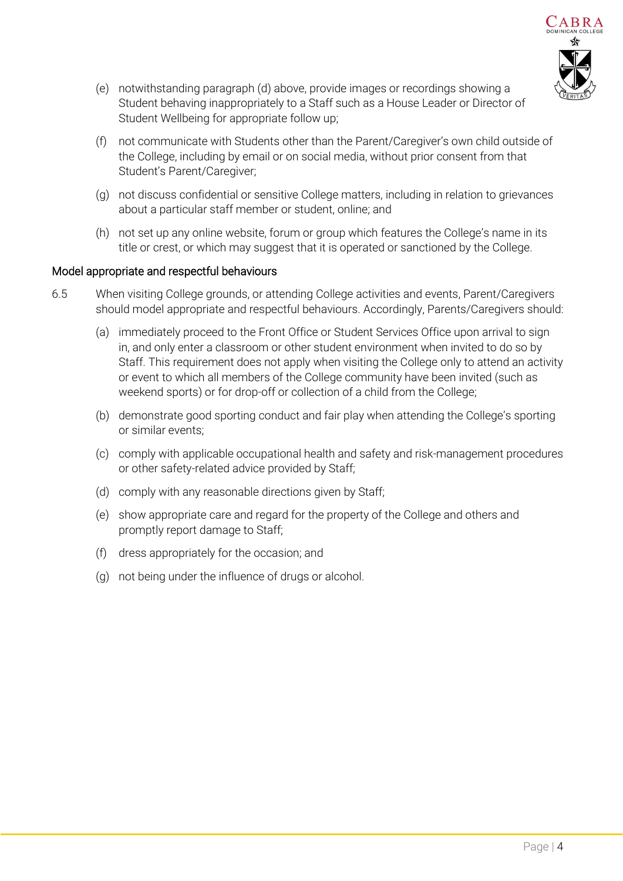

- (e) notwithstanding paragraph [\(d\) above,](#page-2-1) provide images or recordings showing a Student behaving inappropriately to a Staff such as a House Leader or Director of Student Wellbeing for appropriate follow up;
- (f) not communicate with Students other than the Parent/Caregiver's own child outside of the College, including by email or on social media, without prior consent from that Student's Parent/Caregiver;
- (g) not discuss confidential or sensitive College matters, including in relation to grievances about a particular staff member or student, online; and
- (h) not set up any online website, forum or group which features the College's name in its title or crest, or which may suggest that it is operated or sanctioned by the College.

## Model appropriate and respectful behaviours

- 6.5 When visiting College grounds, or attending College activities and events, Parent/Caregivers should model appropriate and respectful behaviours. Accordingly, Parents/Caregivers should:
	- (a) immediately proceed to the Front Office or Student Services Office upon arrival to sign in, and only enter a classroom or other student environment when invited to do so by Staff. This requirement does not apply when visiting the College only to attend an activity or event to which all members of the College community have been invited (such as weekend sports) or for drop-off or collection of a child from the College;
	- (b) demonstrate good sporting conduct and fair play when attending the College's sporting or similar events;
	- (c) comply with applicable occupational health and safety and risk-management procedures or other safety-related advice provided by Staff;
	- (d) comply with any reasonable directions given by Staff;
	- (e) show appropriate care and regard for the property of the College and others and promptly report damage to Staff;
	- (f) dress appropriately for the occasion; and
	- (g) not being under the influence of drugs or alcohol.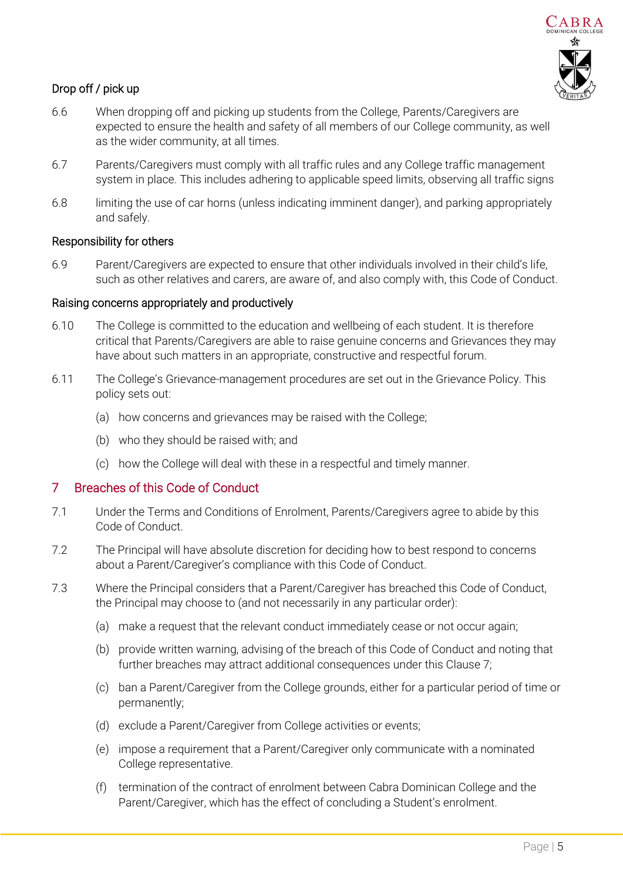

# Drop off / pick up

- 6.6 When dropping off and picking up students from the College, Parents/Caregivers are expected to ensure the health and safety of all members of our College community, as well as the wider community, at all times.
- 6.7 Parents/Caregivers must comply with all traffic rules and any College traffic management system in place. This includes adhering to applicable speed limits, observing all traffic signs
- 6.8 limiting the use of car horns (unless indicating imminent danger), and parking appropriately and safely.

#### Responsibility for others

6.9 Parent/Caregivers are expected to ensure that other individuals involved in their child's life, such as other relatives and carers, are aware of, and also comply with, this Code of Conduct.

#### Raising concerns appropriately and productively

- 6.10 The College is committed to the education and wellbeing of each student. It is therefore critical that Parents/Caregivers are able to raise genuine concerns and Grievances they may have about such matters in an appropriate, constructive and respectful forum.
- 6.11 The College's Grievance-management procedures are set out in the Grievance Policy. This policy sets out:
	- (a) how concerns and grievances may be raised with the College;
	- (b) who they should be raised with; and
	- (c) how the College will deal with these in a respectful and timely manner.

## <span id="page-4-1"></span>7 Breaches of this Code of Conduct

- 7.1 Under the Terms and Conditions of Enrolment, Parents/Caregivers agree to abide by this Code of Conduct.
- 7.2 The Principal will have absolute discretion for deciding how to best respond to concerns about a Parent/Caregiver's compliance with this Code of Conduct.
- <span id="page-4-0"></span>7.3 Where the Principal considers that a Parent/Caregiver has breached this Code of Conduct, the Principal may choose to (and not necessarily in any particular order):
	- (a) make a request that the relevant conduct immediately cease or not occur again;
	- (b) provide written warning, advising of the breach of this Code of Conduct and noting that further breaches may attract additional consequences under this Clause 7;
	- (c) ban a Parent/Caregiver from the College grounds, either for a particular period of time or permanently;
	- (d) exclude a Parent/Caregiver from College activities or events;
	- (e) impose a requirement that a Parent/Caregiver only communicate with a nominated College representative.
	- (f) termination of the contract of enrolment between Cabra Dominican College and the Parent/Caregiver, which has the effect of concluding a Student's enrolment.